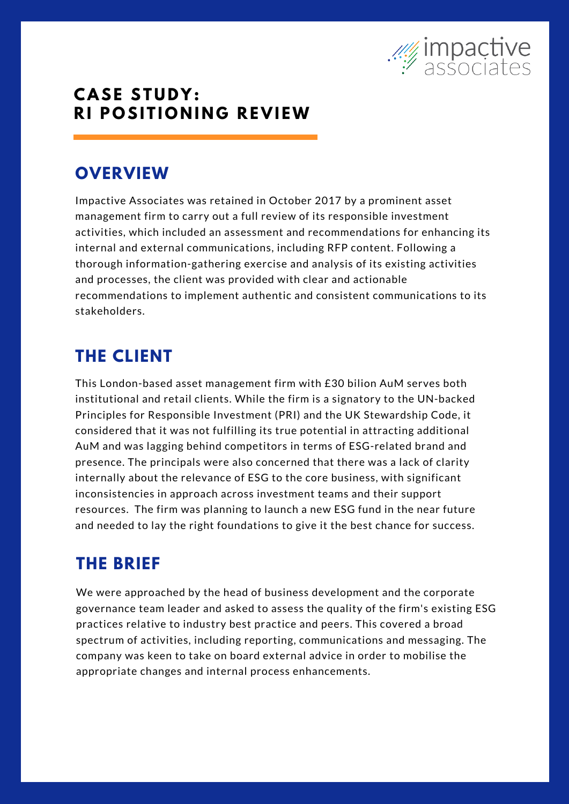

### **C A SE ST U D Y : R I P O SI T I O N I N G R E V I EW**

# **OVERVIEW**

Impactive Associates was retained in October 2017 by a prominent asset management firm to carry out a full review of its responsible investment activities, which included an assessment and recommendations for enhancing its internal and external communications, including RFP content. Following a thorough information-gathering exercise and analysis of its existing activities and processes, the client was provided with clear and actionable recommendations to implement authentic and consistent communications to its stakeholders.

# **THE CLIENT**

This London-based asset management firm with £30 bilion AuM serves both institutional and retail clients. While the firm is a signatory to the UN-backed Principles for Responsible Investment (PRI) and the UK Stewardship Code, it considered that it was not fulfilling its true potential in attracting additional AuM and was lagging behind competitors in terms of ESG-related brand and presence. The principals were also concerned that there was a lack of clarity internally about the relevance of ESG to the core business, with significant inconsistencies in approach across investment teams and their support resources. The firm was planning to launch a new ESG fund in the near future and needed to lay the right foundations to give it the best chance for success.

## **THE BRIEF**

We were approached by the head of business development and the corporate governance team leader and asked to assess the quality of the firm's existing ESG practices relative to industry best practice and peers. This covered a broad spectrum of activities, including reporting, communications and messaging. The company was keen to take on board external advice in order to mobilise the appropriate changes and internal process enhancements.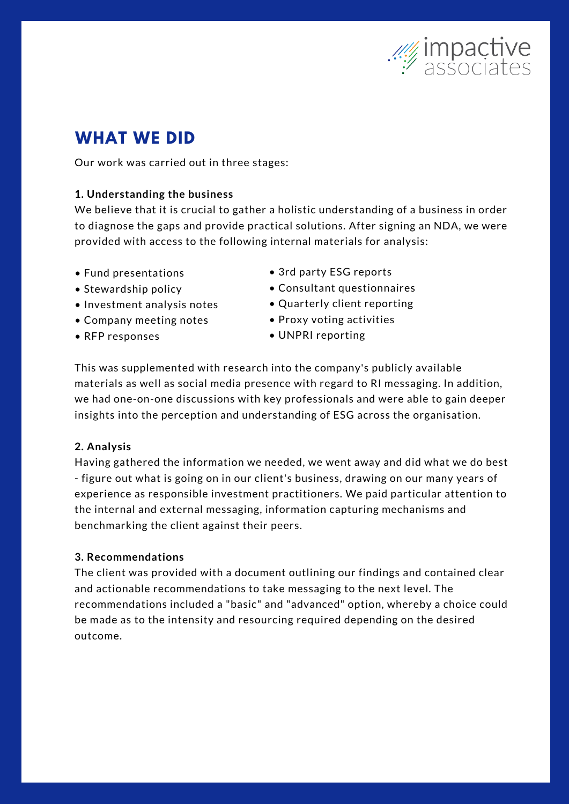

# **WHAT WE DID**

Our work was carried out in three stages:

### **1. Understanding the business**

We believe that it is crucial to gather a holistic understanding of a business in order to diagnose the gaps and provide practical solutions. After signing an NDA, we were provided with access to the following internal materials for analysis:

- Fund presentations
- Stewardship policy
- Investment analysis notes
- Company meeting notes
- RFP responses
- 3rd party ESG reports
- Consultant questionnaires
- Quarterly client reporting
- Proxy voting activities
- UNPRI reporting

This was supplemented with research into the company's publicly available materials as well as social media presence with regard to RI messaging. In addition, we had one-on-one discussions with key professionals and were able to gain deeper insights into the perception and understanding of ESG across the organisation.

### **2. Analysis**

Having gathered the information we needed, we went away and did what we do best - figure out what is going on in our client's business, drawing on our many years of experience as responsible investment practitioners. We paid particular attention to the internal and external messaging, information capturing mechanisms and benchmarking the client against their peers.

### **3. Recommendations**

The client was provided with a document outlining our findings and contained clear and actionable recommendations to take messaging to the next level. The recommendations included a "basic" and "advanced" option, whereby a choice could be made as to the intensity and resourcing required depending on the desired outcome.